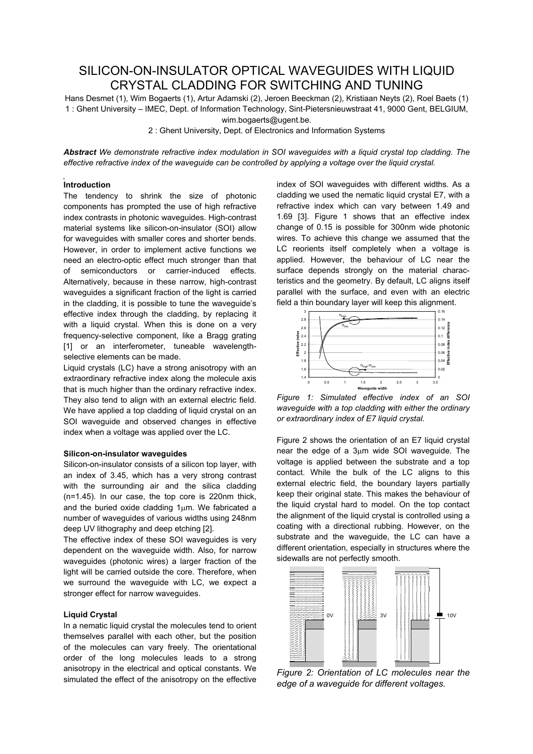# SILICON-ON-INSULATOR OPTICAL WAVEGUIDES WITH LIQUID CRYSTAL CLADDING FOR SWITCHING AND TUNING

Hans Desmet (1), Wim Bogaerts (1), Artur Adamski (2), Jeroen Beeckman (2), Kristiaan Neyts (2), Roel Baets (1) 1 : Ghent University – IMEC, Dept. of Information Technology, Sint-Pietersnieuwstraat 41, 9000 Gent, BELGIUM, wim.bogaerts@ugent.be.

2 : Ghent University, Dept. of Electronics and Information Systems

*Abstract We demonstrate refractive index modulation in SOI waveguides with a liquid crystal top cladding. The effective refractive index of the waveguide can be controlled by applying a voltage over the liquid crystal.*

## **Introduction**

The tendency to shrink the size of photonic components has prompted the use of high refractive index contrasts in photonic waveguides. High-contrast material systems like silicon-on-insulator (SOI) allow for waveguides with smaller cores and shorter bends. However, in order to implement active functions we need an electro-optic effect much stronger than that of semiconductors or carrier-induced effects. Alternatively, because in these narrow, high-contrast waveguides a significant fraction of the light is carried in the cladding, it is possible to tune the waveguide's effective index through the cladding, by replacing it with a liquid crystal. When this is done on a very frequency-selective component, like a Bragg grating [1] or an interferometer, tuneable wavelengthselective elements can be made.

Liquid crystals (LC) have a strong anisotropy with an extraordinary refractive index along the molecule axis that is much higher than the ordinary refractive index. They also tend to align with an external electric field. We have applied a top cladding of liquid crystal on an SOI waveguide and observed changes in effective index when a voltage was applied over the LC.

#### **Silicon-on-insulator waveguides**

Silicon-on-insulator consists of a silicon top layer, with an index of 3.45, which has a very strong contrast with the surrounding air and the silica cladding (n=1.45). In our case, the top core is 220nm thick, and the buried oxide cladding 1µm. We fabricated a number of waveguides of various widths using 248nm deep UV lithography and deep etching [2].

The effective index of these SOI waveguides is very dependent on the waveguide width. Also, for narrow waveguides (photonic wires) a larger fraction of the light will be carried outside the core. Therefore, when we surround the waveguide with LC, we expect a stronger effect for narrow waveguides.

### **Liquid Crystal**

In a nematic liquid crystal the molecules tend to orient themselves parallel with each other, but the position of the molecules can vary freely. The orientational order of the long molecules leads to a strong anisotropy in the electrical and optical constants. We simulated the effect of the anisotropy on the effective

index of SOI waveguides with different widths. As a cladding we used the nematic liquid crystal E7, with a refractive index which can vary between 1.49 and 1.69 [3]. Figure 1 shows that an effective index change of 0.15 is possible for 300nm wide photonic wires. To achieve this change we assumed that the LC reorients itself completely when a voltage is applied. However, the behaviour of LC near the surface depends strongly on the material characteristics and the geometry. By default, LC aligns itself parallel with the surface, and even with an electric field a thin boundary layer will keep this alignment.



*Figure 1: Simulated effective index of an SOI waveguide with a top cladding with either the ordinary or extraordinary index of E7 liquid crystal.*

Figure 2 shows the orientation of an E7 liquid crystal near the edge of a 3µm wide SOI waveguide. The voltage is applied between the substrate and a top contact. While the bulk of the LC aligns to this external electric field, the boundary layers partially keep their original state. This makes the behaviour of the liquid crystal hard to model. On the top contact the alignment of the liquid crystal is controlled using a coating with a directional rubbing. However, on the substrate and the waveguide, the LC can have a different orientation, especially in structures where the sidewalls are not perfectly smooth.



*Figure 2: Orientation of LC molecules near the edge of a waveguide for different voltages.*